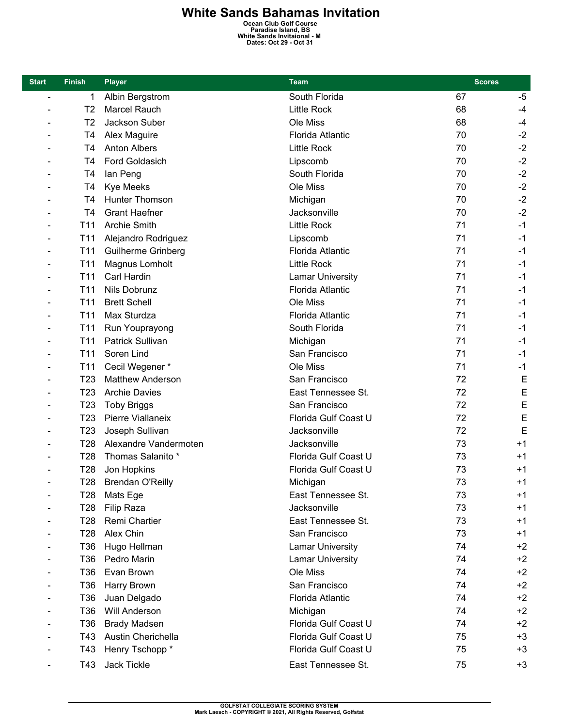## **White Sands Bahamas Invitation**<br>
Ocean Club Golf Course<br>
Paradise Island, BS<br>
White Sands Invitaional - M<br>
Dates: Oct 29 - Oct 31

| <b>Start</b>             | <b>Finish</b>   | <b>Player</b>            | <b>Team</b>             | <b>Scores</b> |      |
|--------------------------|-----------------|--------------------------|-------------------------|---------------|------|
| $\overline{\phantom{a}}$ | 1               | Albin Bergstrom          | South Florida           | 67            | $-5$ |
|                          | T2              | Marcel Rauch             | <b>Little Rock</b>      | 68            | $-4$ |
|                          | T <sub>2</sub>  | Jackson Suber            | Ole Miss                | 68            | $-4$ |
|                          | T4              | Alex Maguire             | <b>Florida Atlantic</b> | 70            | $-2$ |
|                          | T4              | <b>Anton Albers</b>      | <b>Little Rock</b>      | 70            | $-2$ |
|                          | T <sub>4</sub>  | Ford Goldasich           | Lipscomb                | 70            | $-2$ |
|                          | T4              | lan Peng                 | South Florida           | 70            | $-2$ |
|                          | T4              | <b>Kye Meeks</b>         | Ole Miss                | 70            | $-2$ |
|                          | T <sub>4</sub>  | Hunter Thomson           | Michigan                | 70            | $-2$ |
|                          | T <sub>4</sub>  | <b>Grant Haefner</b>     | Jacksonville            | 70            | $-2$ |
|                          | T11             | <b>Archie Smith</b>      | <b>Little Rock</b>      | 71            | $-1$ |
| ÷                        | T <sub>11</sub> | Alejandro Rodriguez      | Lipscomb                | 71            | $-1$ |
|                          | T <sub>11</sub> | Guilherme Grinberg       | Florida Atlantic        | 71            | $-1$ |
|                          | T <sub>11</sub> | Magnus Lomholt           | <b>Little Rock</b>      | 71            | $-1$ |
|                          | T <sub>11</sub> | Carl Hardin              | <b>Lamar University</b> | 71            | $-1$ |
|                          | T <sub>11</sub> | Nils Dobrunz             | <b>Florida Atlantic</b> | 71            | $-1$ |
|                          | T11             | <b>Brett Schell</b>      | Ole Miss                | 71            | $-1$ |
|                          | T <sub>11</sub> | Max Sturdza              | <b>Florida Atlantic</b> | 71            | $-1$ |
|                          | T <sub>11</sub> | Run Youprayong           | South Florida           | 71            | $-1$ |
|                          | T <sub>11</sub> | <b>Patrick Sullivan</b>  | Michigan                | 71            | $-1$ |
|                          | T <sub>11</sub> | Soren Lind               | San Francisco           | 71            | $-1$ |
|                          | T <sub>11</sub> | Cecil Wegener*           | Ole Miss                | 71            | $-1$ |
|                          | T <sub>23</sub> | <b>Matthew Anderson</b>  | San Francisco           | 72            | E    |
|                          | T <sub>23</sub> | <b>Archie Davies</b>     | East Tennessee St.      | 72            | E    |
|                          | T <sub>23</sub> | <b>Toby Briggs</b>       | San Francisco           | 72            | E    |
|                          | T <sub>23</sub> | <b>Pierre Viallaneix</b> | Florida Gulf Coast U    | 72            | E    |
|                          | T <sub>23</sub> | Joseph Sullivan          | Jacksonville            | 72            | E    |
|                          | T <sub>28</sub> | Alexandre Vandermoten    | Jacksonville            | 73            | $+1$ |
|                          | T28             | Thomas Salanito *        | Florida Gulf Coast U    | 73            | $+1$ |
|                          | T28             | Jon Hopkins              | Florida Gulf Coast U    | 73            | $+1$ |
|                          | <b>T28</b>      | <b>Brendan O'Reilly</b>  | Michigan                | 73            | $+1$ |
|                          | T <sub>28</sub> | Mats Ege                 | East Tennessee St.      | 73            | $+1$ |
|                          | T <sub>28</sub> | <b>Filip Raza</b>        | Jacksonville            | 73            | $+1$ |
|                          | T <sub>28</sub> | Remi Chartier            | East Tennessee St.      | 73            | $+1$ |
|                          | T <sub>28</sub> | Alex Chin                | San Francisco           | 73            | $+1$ |
|                          | T36             | Hugo Hellman             | <b>Lamar University</b> | 74            | $+2$ |
|                          | T36             | Pedro Marin              | <b>Lamar University</b> | 74            | $+2$ |
|                          | T36             | Evan Brown               | Ole Miss                | 74            | $+2$ |
|                          | T36             | Harry Brown              | San Francisco           | 74            | $+2$ |
|                          | T36             | Juan Delgado             | Florida Atlantic        | 74            | $+2$ |
|                          | T36             | Will Anderson            | Michigan                | 74            | $+2$ |
|                          | T36             | <b>Brady Madsen</b>      | Florida Gulf Coast U    | 74            | $+2$ |
|                          | T43             | Austin Cherichella       | Florida Gulf Coast U    | 75            | $+3$ |
|                          | T43             | Henry Tschopp *          | Florida Gulf Coast U    | 75            | $+3$ |
|                          | T43             | Jack Tickle              | East Tennessee St.      | 75            | $+3$ |